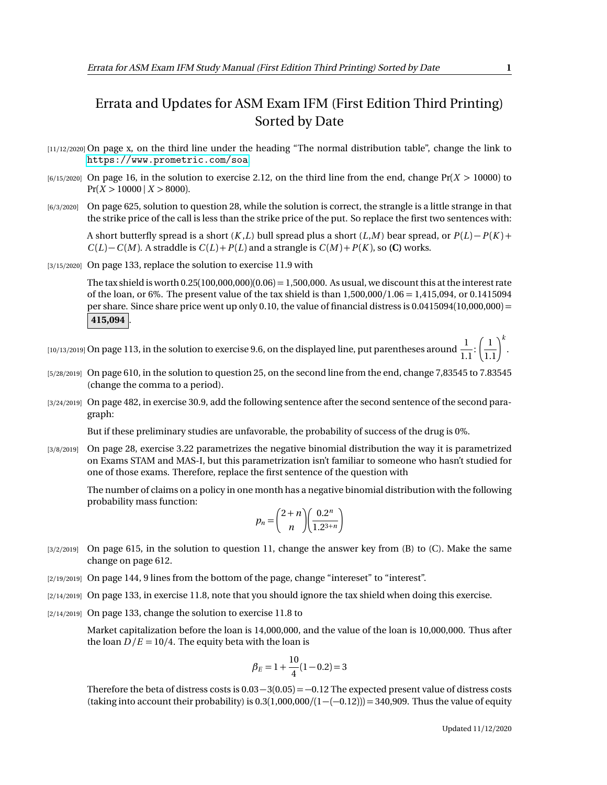## Errata and Updates for ASM Exam IFM (First Edition Third Printing) Sorted by Date

- [11/12/2020] On page x, on the third line under the heading "The normal distribution table", change the link to <https://www.prometric.com/soa>.
- [6/15/2020] On page 16, in the solution to exercise 2.12, on the third line from the end, change Pr(*X >* 10000) to  $Pr(X > 10000 \mid X > 8000)$ .
- [6/3/2020] On page 625, solution to question 28, while the solution is correct, the strangle is a little strange in that the strike price of the call is less than the strike price of the put. So replace the first two sentences with:

A short butterfly spread is a short  $(K, L)$  bull spread plus a short  $(L, M)$  bear spread, or  $P(L) - P(K)$  +  $C(L) - C(M)$ . A straddle is  $C(L) + P(L)$  and a strangle is  $C(M) + P(K)$ , so **(C)** works.

[3/15/2020] On page 133, replace the solution to exercise 11.9 with

The tax shield is worth  $0.25(100,000,000)(0.06) = 1,500,000$ . As usual, we discount this at the interest rate of the loan, or 6%. The present value of the tax shield is than 1,500,000*/*1.06 = 1,415,094, or 0.1415094 per share. Since share price went up only 0.10, the value of financial distress is  $0.0415094(10,000,000) =$ **415,094** .

[10/13/2019] On page 113, in the solution to exercise 9.6, on the displayed line, put parentheses around  $\frac{1}{1}$  $\frac{1}{1.1}$  $\left(\frac{1}{1.1}\right)^k$ .

- [5/28/2019] On page 610, in the solution to question 25, on the second line from the end, change 7,83545 to 7.83545 (change the comma to a period).
- [3/24/2019] On page 482, in exercise 30.9, add the following sentence after the second sentence of the second paragraph:

But if these preliminary studies are unfavorable, the probability of success of the drug is 0%.

[3/8/2019] On page 28, exercise 3.22 parametrizes the negative binomial distribution the way it is parametrized on Exams STAM and MAS-I, but this parametrization isn't familiar to someone who hasn't studied for one of those exams. Therefore, replace the first sentence of the question with

The number of claims on a policy in one month has a negative binomial distribution with the following probability mass function:

$$
p_n = \binom{2+n}{n} \left( \frac{0.2^n}{1.2^{3+n}} \right)
$$

- [3/2/2019] On page 615, in the solution to question 11, change the answer key from (B) to (C). Make the same change on page 612.
- [2/19/2019] On page 144, 9 lines from the bottom of the page, change "intereset" to "interest".
- [2/14/2019] On page 133, in exercise 11.8, note that you should ignore the tax shield when doing this exercise.
- [2/14/2019] On page 133, change the solution to exercise 11.8 to

Market capitalization before the loan is 14,000,000, and the value of the loan is 10,000,000. Thus after the loan  $D/E = 10/4$ . The equity beta with the loan is

$$
\beta_E = 1 + \frac{10}{4}(1 - 0.2) = 3
$$

Therefore the beta of distress costs is  $0.03-3(0.05) = -0.12$  The expected present value of distress costs (taking into account their probability) is  $0.3(1,000,000/(1-(-0.12))) = 340,909$ . Thus the value of equity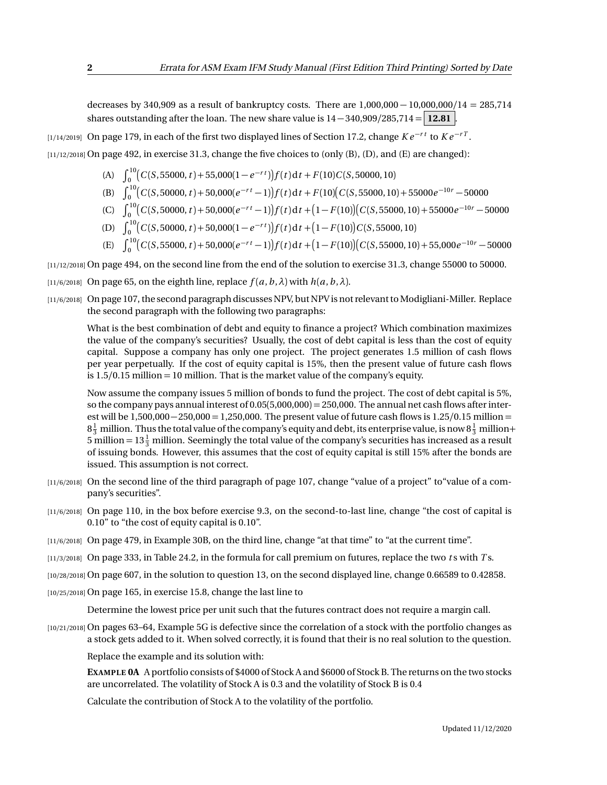decreases by 340,909 as a result of bankruptcy costs. There are 1,000,000 − 10,000,000*/*14 = 285,714 shares outstanding after the loan. The new share value is  $14 - 340,909/285,714 = 12.81$ .

[1/14/2019] On page 179, in each of the first two displayed lines of Section 17.2, change *K e* <sup>−</sup>*r t* to *K e* <sup>−</sup>*r T* .

[11/12/2018] On page 492, in exercise 31.3, change the five choices to (only (B), (D), and (E) are changed):

- (A)  $\int_0^{10} (C(S, 55000, t) + 55,000(1 e^{-rt})) f(t) dt + F(10)C(S, 50000, 10)$
- (B)  $\int_0^{10} (C(S, 50000, t) + 50,000(e^{-rt} 1)) f(t) dt + F(10)(C(S, 55000, 10) + 55000e^{-10r} 50000$
- (C)  $\int_0^{10} (C(S, 50000, t) + 50,000(e^{-rt} 1)) f(t) dt + (1 F(10)) (C(S, 55000, 10) + 55000e^{-10r} 50000$
- (D)  $\int_0^{10} \left( C(S, 50000, t) + 50,000(1 e^{-rt}) \right) f(t) dt + \left( 1 F(10) \right) C(S, 55000, 10)$
- $E$   $\int_0^{10} (C(S, 55000, t) + 50,000(e^{-rt} 1)) f(t) dt + (1 F(10)) (C(S, 55000, 10) + 55,000e^{-10r} 50000$

[11/12/2018] On page 494, on the second line from the end of the solution to exercise 31.3, change 55000 to 50000.

- [11/6/2018] On page 65, on the eighth line, replace  $f(a, b, \lambda)$  with  $h(a, b, \lambda)$ .
- [11/6/2018] On page 107, the second paragraph discusses NPV, but NPV is not relevant to Modigliani-Miller. Replace the second paragraph with the following two paragraphs:

What is the best combination of debt and equity to finance a project? Which combination maximizes the value of the company's securities? Usually, the cost of debt capital is less than the cost of equity capital. Suppose a company has only one project. The project generates 1.5 million of cash flows per year perpetually. If the cost of equity capital is 15%, then the present value of future cash flows is 1.5*/*0.15 million = 10 million. That is the market value of the company's equity.

Now assume the company issues 5 million of bonds to fund the project. The cost of debt capital is 5%, so the company pays annual interest of  $0.05(5,000,000) = 250,000$ . The annual net cash flows after interest will be 1,500,000−250,000 = 1,250,000. The present value of future cash flows is 1.25*/*0.15 million =  $8\frac{1}{3}$  million. Thus the total value of the company's equity and debt, its enterprise value, is now  $8\frac{1}{3}$  million+ 5 million =  $13\frac{1}{3}$  million. Seemingly the total value of the company's securities has increased as a result of issuing bonds. However, this assumes that the cost of equity capital is still 15% after the bonds are issued. This assumption is not correct.

- [11/6/2018] On the second line of the third paragraph of page 107, change "value of a project" to"value of a company's securities".
- [11/6/2018] On page 110, in the box before exercise 9.3, on the second-to-last line, change "the cost of capital is 0.10" to "the cost of equity capital is 0.10".
- [11/6/2018] On page 479, in Example 30B, on the third line, change "at that time" to "at the current time".
- [11/3/2018] On page 333, in Table 24.2, in the formula for call premium on futures, replace the two *t* s with *T* s.
- [10/28/2018] On page 607, in the solution to question 13, on the second displayed line, change 0.66589 to 0.42858.
- [10/25/2018] On page 165, in exercise 15.8, change the last line to

Determine the lowest price per unit such that the futures contract does not require a margin call.

[10/21/2018] On pages 63–64, Example 5G is defective since the correlation of a stock with the portfolio changes as a stock gets added to it. When solved correctly, it is found that their is no real solution to the question.

Replace the example and its solution with:

**EXAMPLE 0A** A portfolio consists of \$4000 of Stock A and \$6000 of Stock B. The returns on the two stocks are uncorrelated. The volatility of Stock A is 0.3 and the volatility of Stock B is 0.4

Calculate the contribution of Stock A to the volatility of the portfolio.